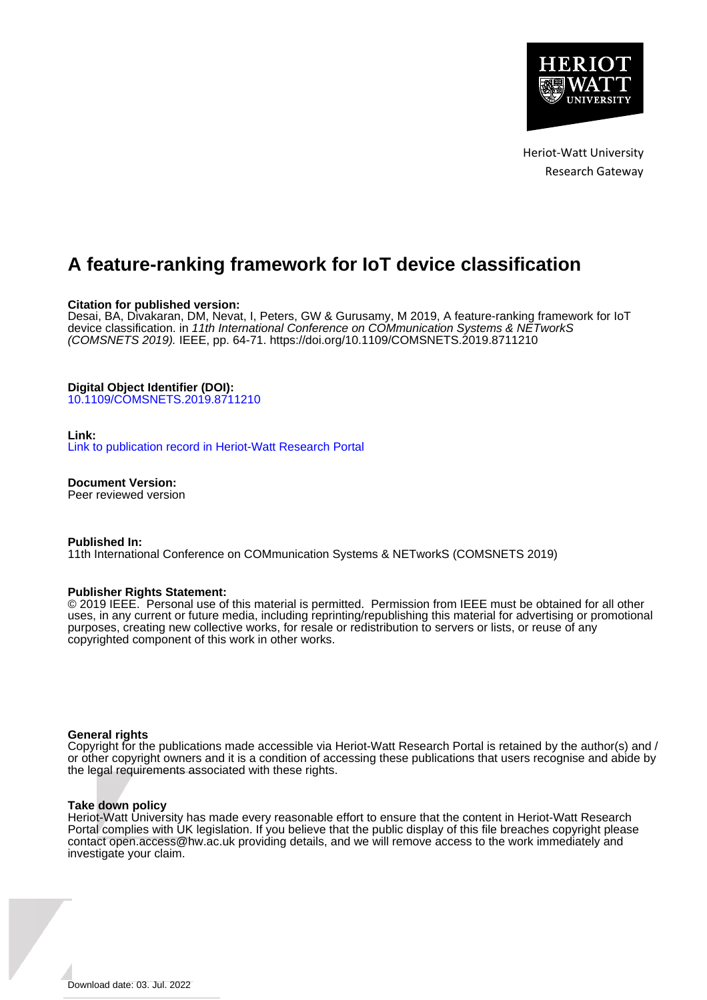

Heriot-Watt University Research Gateway

# **A feature-ranking framework for IoT device classification**

# **Citation for published version:**

Desai, BA, Divakaran, DM, Nevat, I, Peters, GW & Gurusamy, M 2019, A feature-ranking framework for IoT device classification. in 11th International Conference on COMmunication Systems & NETworkS (COMSNETS 2019). IEEE, pp. 64-71.<https://doi.org/10.1109/COMSNETS.2019.8711210>

# **Digital Object Identifier (DOI):**

[10.1109/COMSNETS.2019.8711210](https://doi.org/10.1109/COMSNETS.2019.8711210)

# **Link:**

[Link to publication record in Heriot-Watt Research Portal](https://researchportal.hw.ac.uk/en/publications/a57eecda-8777-4f40-b90f-c5f5e5e3a5cf)

**Document Version:** Peer reviewed version

# **Published In:**

11th International Conference on COMmunication Systems & NETworkS (COMSNETS 2019)

# **Publisher Rights Statement:**

© 2019 IEEE. Personal use of this material is permitted. Permission from IEEE must be obtained for all other uses, in any current or future media, including reprinting/republishing this material for advertising or promotional purposes, creating new collective works, for resale or redistribution to servers or lists, or reuse of any copyrighted component of this work in other works.

# **General rights**

Copyright for the publications made accessible via Heriot-Watt Research Portal is retained by the author(s) and / or other copyright owners and it is a condition of accessing these publications that users recognise and abide by the legal requirements associated with these rights.

# **Take down policy**

Heriot-Watt University has made every reasonable effort to ensure that the content in Heriot-Watt Research Portal complies with UK legislation. If you believe that the public display of this file breaches copyright please contact open.access@hw.ac.uk providing details, and we will remove access to the work immediately and investigate your claim.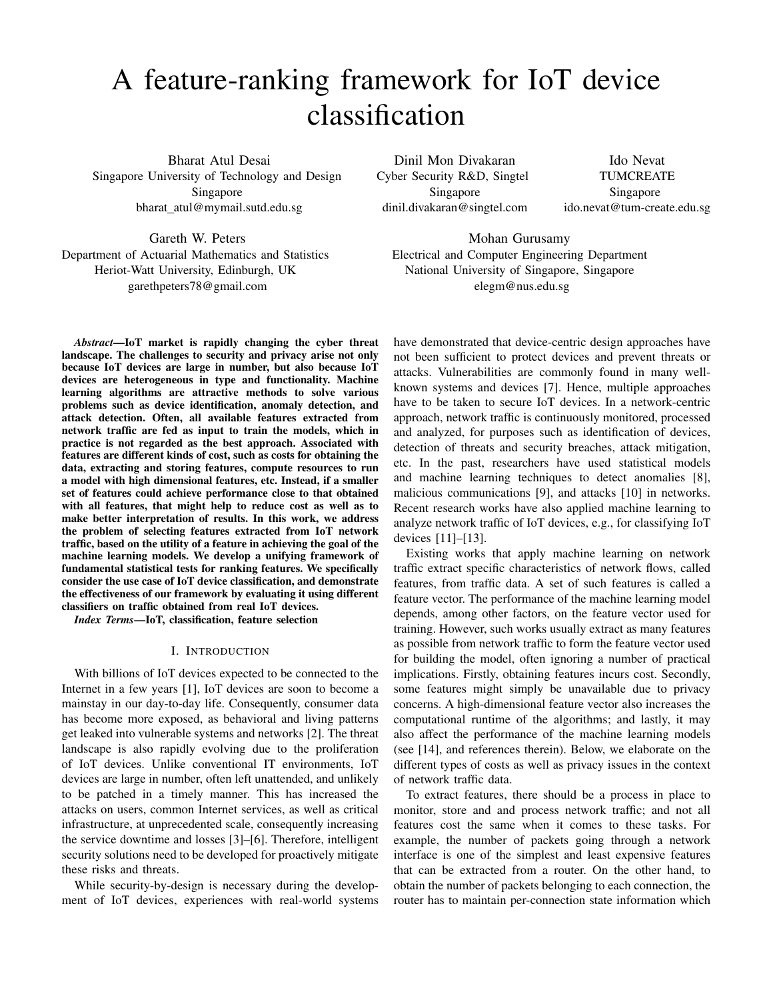# A feature-ranking framework for IoT device classification

Bharat Atul Desai Singapore University of Technology and Design Singapore bharat atul@mymail.sutd.edu.sg

Dinil Mon Divakaran Cyber Security R&D, Singtel Singapore dinil.divakaran@singtel.com

Ido Nevat TUMCREATE Singapore ido.nevat@tum-create.edu.sg

Gareth W. Peters Department of Actuarial Mathematics and Statistics Heriot-Watt University, Edinburgh, UK garethpeters78@gmail.com

*Abstract*—IoT market is rapidly changing the cyber threat landscape. The challenges to security and privacy arise not only because IoT devices are large in number, but also because IoT devices are heterogeneous in type and functionality. Machine learning algorithms are attractive methods to solve various problems such as device identification, anomaly detection, and attack detection. Often, all available features extracted from network traffic are fed as input to train the models, which in practice is not regarded as the best approach. Associated with features are different kinds of cost, such as costs for obtaining the data, extracting and storing features, compute resources to run a model with high dimensional features, etc. Instead, if a smaller set of features could achieve performance close to that obtained with all features, that might help to reduce cost as well as to make better interpretation of results. In this work, we address the problem of selecting features extracted from IoT network traffic, based on the utility of a feature in achieving the goal of the machine learning models. We develop a unifying framework of fundamental statistical tests for ranking features. We specifically consider the use case of IoT device classification, and demonstrate the effectiveness of our framework by evaluating it using different classifiers on traffic obtained from real IoT devices.

*Index Terms*—IoT, classification, feature selection

#### I. INTRODUCTION

With billions of IoT devices expected to be connected to the Internet in a few years [1], IoT devices are soon to become a mainstay in our day-to-day life. Consequently, consumer data has become more exposed, as behavioral and living patterns get leaked into vulnerable systems and networks [2]. The threat landscape is also rapidly evolving due to the proliferation of IoT devices. Unlike conventional IT environments, IoT devices are large in number, often left unattended, and unlikely to be patched in a timely manner. This has increased the attacks on users, common Internet services, as well as critical infrastructure, at unprecedented scale, consequently increasing the service downtime and losses [3]–[6]. Therefore, intelligent security solutions need to be developed for proactively mitigate these risks and threats.

While security-by-design is necessary during the development of IoT devices, experiences with real-world systems

elegm@nus.edu.sg have demonstrated that device-centric design approaches have

Mohan Gurusamy Electrical and Computer Engineering Department National University of Singapore, Singapore

not been sufficient to protect devices and prevent threats or attacks. Vulnerabilities are commonly found in many wellknown systems and devices [7]. Hence, multiple approaches have to be taken to secure IoT devices. In a network-centric approach, network traffic is continuously monitored, processed and analyzed, for purposes such as identification of devices, detection of threats and security breaches, attack mitigation, etc. In the past, researchers have used statistical models and machine learning techniques to detect anomalies [8], malicious communications [9], and attacks [10] in networks. Recent research works have also applied machine learning to analyze network traffic of IoT devices, e.g., for classifying IoT devices [11]–[13].

Existing works that apply machine learning on network traffic extract specific characteristics of network flows, called features, from traffic data. A set of such features is called a feature vector. The performance of the machine learning model depends, among other factors, on the feature vector used for training. However, such works usually extract as many features as possible from network traffic to form the feature vector used for building the model, often ignoring a number of practical implications. Firstly, obtaining features incurs cost. Secondly, some features might simply be unavailable due to privacy concerns. A high-dimensional feature vector also increases the computational runtime of the algorithms; and lastly, it may also affect the performance of the machine learning models (see [14], and references therein). Below, we elaborate on the different types of costs as well as privacy issues in the context of network traffic data.

To extract features, there should be a process in place to monitor, store and and process network traffic; and not all features cost the same when it comes to these tasks. For example, the number of packets going through a network interface is one of the simplest and least expensive features that can be extracted from a router. On the other hand, to obtain the number of packets belonging to each connection, the router has to maintain per-connection state information which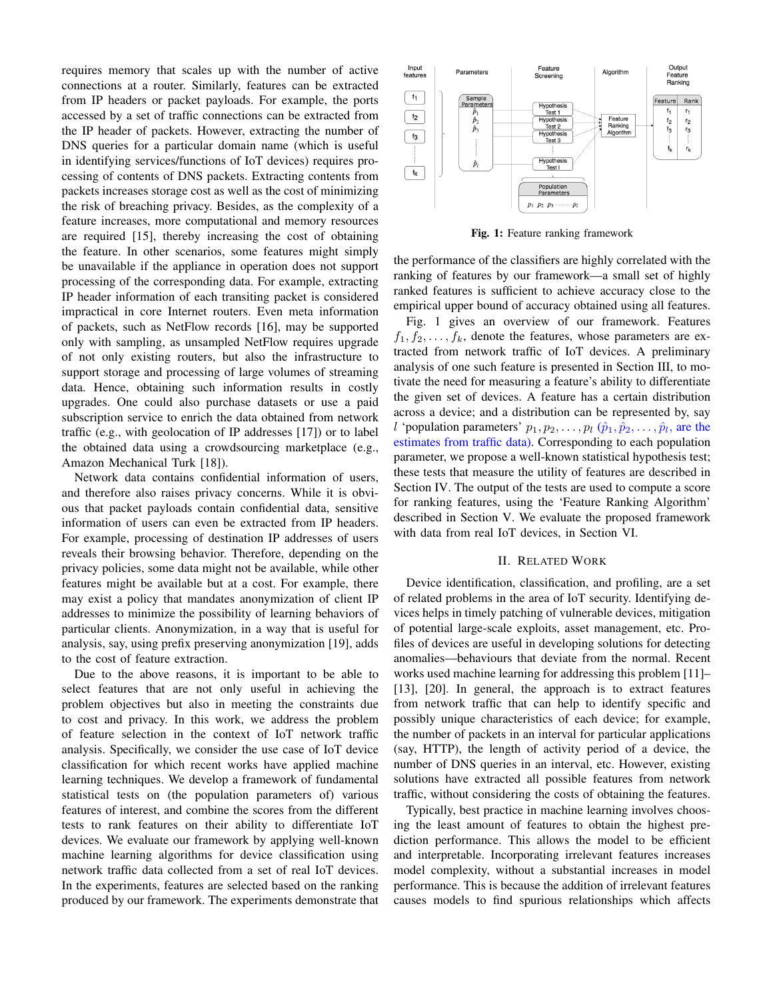requires memory that scales up with the number of active connections at a router. Similarly, features can be extracted from IP headers or packet payloads. For example, the ports accessed by a set of traffic connections can be extracted from the IP header of packets. However, extracting the number of DNS queries for a particular domain name (which is useful in identifying services/functions of IoT devices) requires processing of contents of DNS packets. Extracting contents from packets increases storage cost as well as the cost of minimizing the risk of breaching privacy. Besides, as the complexity of a feature increases, more computational and memory resources are required [15], thereby increasing the cost of obtaining the feature. In other scenarios, some features might simply be unavailable if the appliance in operation does not support processing of the corresponding data. For example, extracting IP header information of each transiting packet is considered impractical in core Internet routers. Even meta information of packets, such as NetFlow records [16], may be supported only with sampling, as unsampled NetFlow requires upgrade of not only existing routers, but also the infrastructure to support storage and processing of large volumes of streaming data. Hence, obtaining such information results in costly upgrades. One could also purchase datasets or use a paid subscription service to enrich the data obtained from network traffic (e.g., with geolocation of IP addresses [17]) or to label the obtained data using a crowdsourcing marketplace (e.g., Amazon Mechanical Turk [18]).

Network data contains confidential information of users, and therefore also raises privacy concerns. While it is obvious that packet payloads contain confidential data, sensitive information of users can even be extracted from IP headers. For example, processing of destination IP addresses of users reveals their browsing behavior. Therefore, depending on the privacy policies, some data might not be available, while other features might be available but at a cost. For example, there may exist a policy that mandates anonymization of client IP addresses to minimize the possibility of learning behaviors of particular clients. Anonymization, in a way that is useful for analysis, say, using prefix preserving anonymization [19], adds to the cost of feature extraction.

Due to the above reasons, it is important to be able to select features that are not only useful in achieving the problem objectives but also in meeting the constraints due to cost and privacy. In this work, we address the problem of feature selection in the context of IoT network traffic analysis. Specifically, we consider the use case of IoT device classification for which recent works have applied machine learning techniques. We develop a framework of fundamental statistical tests on (the population parameters of) various features of interest, and combine the scores from the different tests to rank features on their ability to differentiate IoT devices. We evaluate our framework by applying well-known machine learning algorithms for device classification using network traffic data collected from a set of real IoT devices. In the experiments, features are selected based on the ranking produced by our framework. The experiments demonstrate that



Fig. 1: Feature ranking framework

the performance of the classifiers are highly correlated with the ranking of features by our framework—a small set of highly ranked features is sufficient to achieve accuracy close to the empirical upper bound of accuracy obtained using all features.

Fig. 1 gives an overview of our framework. Features  $f_1, f_2, \ldots, f_k$ , denote the features, whose parameters are extracted from network traffic of IoT devices. A preliminary analysis of one such feature is presented in Section III, to motivate the need for measuring a feature's ability to differentiate the given set of devices. A feature has a certain distribution across a device; and a distribution can be represented by, say *l* 'population parameters'  $p_1, p_2, \ldots, p_l$   $(\hat{p}_1, \hat{p}_2, \ldots, \hat{p}_l)$ , are the estimates from traffic data). Corresponding to each population parameter, we propose a well-known statistical hypothesis test; these tests that measure the utility of features are described in Section IV. The output of the tests are used to compute a score for ranking features, using the 'Feature Ranking Algorithm' described in Section V. We evaluate the proposed framework with data from real IoT devices, in Section VI.

#### II. RELATED WORK

Device identification, classification, and profiling, are a set of related problems in the area of IoT security. Identifying devices helps in timely patching of vulnerable devices, mitigation of potential large-scale exploits, asset management, etc. Profiles of devices are useful in developing solutions for detecting anomalies—behaviours that deviate from the normal. Recent works used machine learning for addressing this problem [11]– [13], [20]. In general, the approach is to extract features from network traffic that can help to identify specific and possibly unique characteristics of each device; for example, the number of packets in an interval for particular applications (say, HTTP), the length of activity period of a device, the number of DNS queries in an interval, etc. However, existing solutions have extracted all possible features from network traffic, without considering the costs of obtaining the features.

Typically, best practice in machine learning involves choosing the least amount of features to obtain the highest prediction performance. This allows the model to be efficient and interpretable. Incorporating irrelevant features increases model complexity, without a substantial increases in model performance. This is because the addition of irrelevant features causes models to find spurious relationships which affects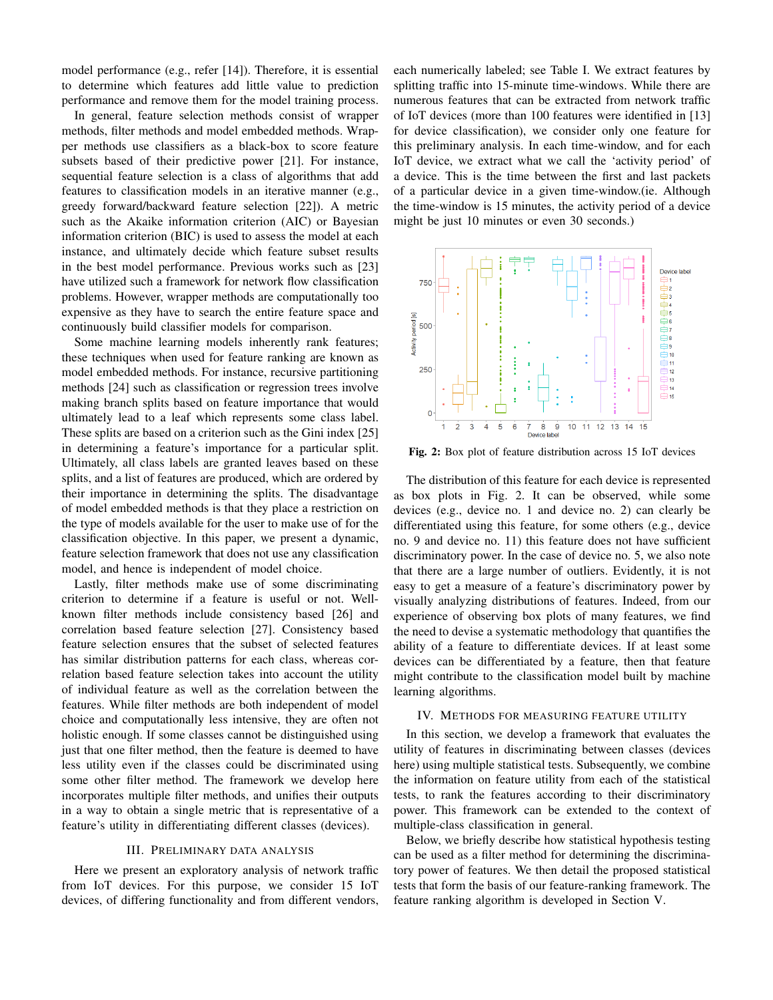model performance (e.g., refer [14]). Therefore, it is essential to determine which features add little value to prediction performance and remove them for the model training process.

In general, feature selection methods consist of wrapper methods, filter methods and model embedded methods. Wrapper methods use classifiers as a black-box to score feature subsets based of their predictive power [21]. For instance, sequential feature selection is a class of algorithms that add features to classification models in an iterative manner (e.g., greedy forward/backward feature selection [22]). A metric such as the Akaike information criterion (AIC) or Bayesian information criterion (BIC) is used to assess the model at each instance, and ultimately decide which feature subset results in the best model performance. Previous works such as [23] have utilized such a framework for network flow classification problems. However, wrapper methods are computationally too expensive as they have to search the entire feature space and continuously build classifier models for comparison.

Some machine learning models inherently rank features; these techniques when used for feature ranking are known as model embedded methods. For instance, recursive partitioning methods [24] such as classification or regression trees involve making branch splits based on feature importance that would ultimately lead to a leaf which represents some class label. These splits are based on a criterion such as the Gini index [25] in determining a feature's importance for a particular split. Ultimately, all class labels are granted leaves based on these splits, and a list of features are produced, which are ordered by their importance in determining the splits. The disadvantage of model embedded methods is that they place a restriction on the type of models available for the user to make use of for the classification objective. In this paper, we present a dynamic, feature selection framework that does not use any classification model, and hence is independent of model choice.

Lastly, filter methods make use of some discriminating criterion to determine if a feature is useful or not. Wellknown filter methods include consistency based [26] and correlation based feature selection [27]. Consistency based feature selection ensures that the subset of selected features has similar distribution patterns for each class, whereas correlation based feature selection takes into account the utility of individual feature as well as the correlation between the features. While filter methods are both independent of model choice and computationally less intensive, they are often not holistic enough. If some classes cannot be distinguished using just that one filter method, then the feature is deemed to have less utility even if the classes could be discriminated using some other filter method. The framework we develop here incorporates multiple filter methods, and unifies their outputs in a way to obtain a single metric that is representative of a feature's utility in differentiating different classes (devices).

# III. PRELIMINARY DATA ANALYSIS

Here we present an exploratory analysis of network traffic from IoT devices. For this purpose, we consider 15 IoT devices, of differing functionality and from different vendors, each numerically labeled; see Table I. We extract features by splitting traffic into 15-minute time-windows. While there are numerous features that can be extracted from network traffic of IoT devices (more than 100 features were identified in [13] for device classification), we consider only one feature for this preliminary analysis. In each time-window, and for each IoT device, we extract what we call the 'activity period' of a device. This is the time between the first and last packets of a particular device in a given time-window.(ie. Although the time-window is 15 minutes, the activity period of a device might be just 10 minutes or even 30 seconds.)



Fig. 2: Box plot of feature distribution across 15 IoT devices

The distribution of this feature for each device is represented as box plots in Fig. 2. It can be observed, while some devices (e.g., device no. 1 and device no. 2) can clearly be differentiated using this feature, for some others (e.g., device no. 9 and device no. 11) this feature does not have sufficient discriminatory power. In the case of device no. 5, we also note that there are a large number of outliers. Evidently, it is not easy to get a measure of a feature's discriminatory power by visually analyzing distributions of features. Indeed, from our experience of observing box plots of many features, we find the need to devise a systematic methodology that quantifies the ability of a feature to differentiate devices. If at least some devices can be differentiated by a feature, then that feature might contribute to the classification model built by machine learning algorithms.

# IV. METHODS FOR MEASURING FEATURE UTILITY

In this section, we develop a framework that evaluates the utility of features in discriminating between classes (devices here) using multiple statistical tests. Subsequently, we combine the information on feature utility from each of the statistical tests, to rank the features according to their discriminatory power. This framework can be extended to the context of multiple-class classification in general.

Below, we briefly describe how statistical hypothesis testing can be used as a filter method for determining the discriminatory power of features. We then detail the proposed statistical tests that form the basis of our feature-ranking framework. The feature ranking algorithm is developed in Section V.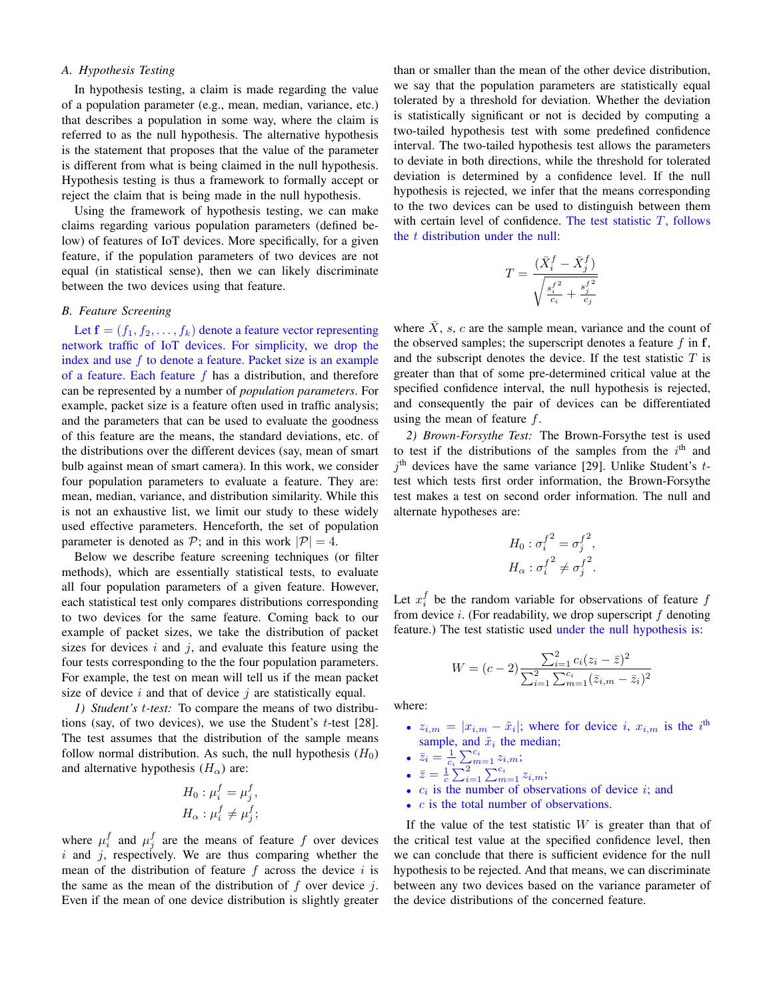# *A. Hypothesis Testing*

In hypothesis testing, a claim is made regarding the value of a population parameter (e.g., mean, median, variance, etc.) that describes a population in some way, where the claim is referred to as the null hypothesis. The alternative hypothesis is the statement that proposes that the value of the parameter is different from what is being claimed in the null hypothesis. Hypothesis testing is thus a framework to formally accept or reject the claim that is being made in the null hypothesis.

Using the framework of hypothesis testing, we can make claims regarding various population parameters (defined below) of features of IoT devices. More specifically, for a given feature, if the population parameters of two devices are not equal (in statistical sense), then we can likely discriminate between the two devices using that feature.

# *B. Feature Screening*

Let  $f = (f_1, f_2, \ldots, f_k)$  denote a feature vector representing network traffic of IoT devices. For simplicity, we drop the index and use  $f$  to denote a feature. Packet size is an example of a feature. Each feature  $f$  has a distribution, and therefore can be represented by a number of *population parameters*. For example, packet size is a feature often used in traffic analysis; and the parameters that can be used to evaluate the goodness of this feature are the means, the standard deviations, etc. of the distributions over the different devices (say, mean of smart bulb against mean of smart camera). In this work, we consider four population parameters to evaluate a feature. They are: mean, median, variance, and distribution similarity. While this is not an exhaustive list, we limit our study to these widely used effective parameters. Henceforth, the set of population parameter is denoted as  $P$ ; and in this work  $|P| = 4$ .

Below we describe feature screening techniques (or filter methods), which are essentially statistical tests, to evaluate all four population parameters of a given feature. However, each statistical test only compares distributions corresponding to two devices for the same feature. Coming back to our example of packet sizes, we take the distribution of packet sizes for devices  $i$  and  $j$ , and evaluate this feature using the four tests corresponding to the the four population parameters. For example, the test on mean will tell us if the mean packet size of device  $i$  and that of device  $j$  are statistically equal.

*1) Student's* t*-test:* To compare the means of two distributions (say, of two devices), we use the Student's  $t$ -test [28]. The test assumes that the distribution of the sample means follow normal distribution. As such, the null hypothesis  $(H_0)$ and alternative hypothesis  $(H_{\alpha})$  are:

$$
H_0: \mu_i^f = \mu_j^f,
$$
  

$$
H_\alpha: \mu_i^f \neq \mu_j^f;
$$

where  $\mu_i^f$  and  $\mu_j^f$  are the means of feature f over devices  $i$  and  $j$ , respectively. We are thus comparing whether the mean of the distribution of feature  $f$  across the device  $i$  is the same as the mean of the distribution of  $f$  over device  $i$ . Even if the mean of one device distribution is slightly greater than or smaller than the mean of the other device distribution, we say that the population parameters are statistically equal tolerated by a threshold for deviation. Whether the deviation is statistically significant or not is decided by computing a two-tailed hypothesis test with some predefined confidence interval. The two-tailed hypothesis test allows the parameters to deviate in both directions, while the threshold for tolerated deviation is determined by a confidence level. If the null hypothesis is rejected, we infer that the means corresponding to the two devices can be used to distinguish between them with certain level of confidence. The test statistic  $T$ , follows the  $t$  distribution under the null:

$$
T = \frac{(\bar{X}_i^f - \bar{X}_j^f)}{\sqrt{\frac{{s_i^f}^2}{c_i} + \frac{{s_j^f}^2}{c_j}}}
$$

where  $\bar{X}$ , s, c are the sample mean, variance and the count of the observed samples; the superscript denotes a feature  $f$  in  $f$ , and the subscript denotes the device. If the test statistic  $T$  is greater than that of some pre-determined critical value at the specified confidence interval, the null hypothesis is rejected, and consequently the pair of devices can be differentiated using the mean of feature f.

*2) Brown-Forsythe Test:* The Brown-Forsythe test is used to test if the distributions of the samples from the  $i<sup>th</sup>$  and  $j<sup>th</sup>$  devices have the same variance [29]. Unlike Student's ttest which tests first order information, the Brown-Forsythe test makes a test on second order information. The null and alternate hypotheses are:

$$
H_0: \sigma_i^{f^2} = \sigma_j^{f^2},
$$
  

$$
H_\alpha: \sigma_i^{f^2} \neq \sigma_j^{f^2}.
$$

Let  $x_i^f$  be the random variable for observations of feature  $f$ from device i. (For readability, we drop superscript  $f$  denoting feature.) The test statistic used under the null hypothesis is:

$$
W = (c-2) \frac{\sum_{i=1}^{2} c_i (z_i - \bar{z})^2}{\sum_{i=1}^{2} \sum_{m=1}^{c_i} (\bar{z}_{i,m} - \bar{z}_i)^2}
$$

where:

- $z_{i,m} = |x_{i,m} \tilde{x}_i|$ ; where for device i,  $x_{i,m}$  is the i<sup>th</sup> sample, and  $\tilde{x}_i$  the median;
- $\bar{z}_i = \frac{1}{c_i} \sum_{n=1}^{c_i} z_{i,m};$
- $\bar{z} = \frac{1}{c} \sum_{i=1}^{c} \sum_{m=1}^{c_i} z_{i,m};$
- $c_i$  is the number of observations of device  $i$ ; and
- $\bullet$  *c* is the total number of observations.

If the value of the test statistic  $W$  is greater than that of the critical test value at the specified confidence level, then we can conclude that there is sufficient evidence for the null hypothesis to be rejected. And that means, we can discriminate between any two devices based on the variance parameter of the device distributions of the concerned feature.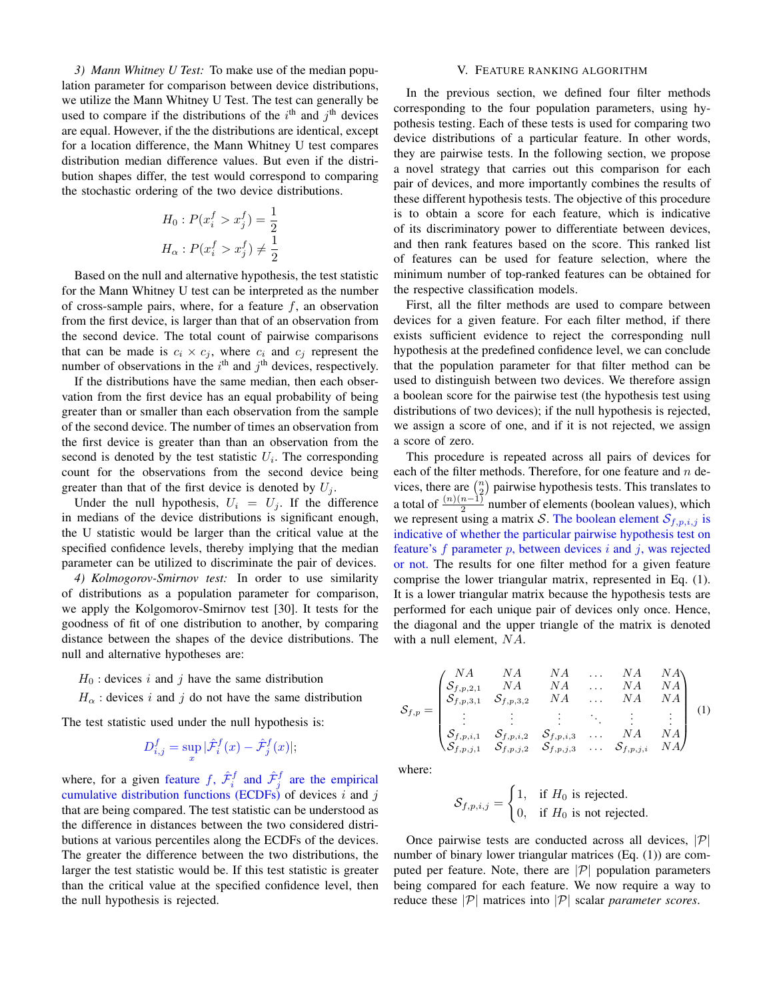*3) Mann Whitney U Test:* To make use of the median population parameter for comparison between device distributions, we utilize the Mann Whitney U Test. The test can generally be used to compare if the distributions of the  $i<sup>th</sup>$  and  $j<sup>th</sup>$  devices are equal. However, if the the distributions are identical, except for a location difference, the Mann Whitney U test compares distribution median difference values. But even if the distribution shapes differ, the test would correspond to comparing the stochastic ordering of the two device distributions.

$$
H_0: P(x_i^f > x_j^f) = \frac{1}{2}
$$
  

$$
H_{\alpha}: P(x_i^f > x_j^f) \neq \frac{1}{2}
$$

Based on the null and alternative hypothesis, the test statistic for the Mann Whitney U test can be interpreted as the number of cross-sample pairs, where, for a feature  $f$ , an observation from the first device, is larger than that of an observation from the second device. The total count of pairwise comparisons that can be made is  $c_i \times c_j$ , where  $c_i$  and  $c_j$  represent the number of observations in the  $i<sup>th</sup>$  and  $j<sup>th</sup>$  devices, respectively.

If the distributions have the same median, then each observation from the first device has an equal probability of being greater than or smaller than each observation from the sample of the second device. The number of times an observation from the first device is greater than than an observation from the second is denoted by the test statistic  $U_i$ . The corresponding count for the observations from the second device being greater than that of the first device is denoted by  $U_i$ .

Under the null hypothesis,  $U_i = U_j$ . If the difference in medians of the device distributions is significant enough, the U statistic would be larger than the critical value at the specified confidence levels, thereby implying that the median parameter can be utilized to discriminate the pair of devices.

*4) Kolmogorov-Smirnov test:* In order to use similarity of distributions as a population parameter for comparison, we apply the Kolgomorov-Smirnov test [30]. It tests for the goodness of fit of one distribution to another, by comparing distance between the shapes of the device distributions. The null and alternative hypotheses are:

 $H_0$ : devices i and j have the same distribution

 $H_{\alpha}$ : devices i and j do not have the same distribution

The test statistic used under the null hypothesis is:

$$
D_{i,j}^f = \sup_x |\hat{\mathcal{F}}_i^f(x) - \hat{\mathcal{F}}_j^f(x)|;
$$

where, for a given feature f,  $\hat{\mathcal{F}}_i^f$  and  $\hat{\mathcal{F}}_j^f$  are the empirical cumulative distribution functions (ECDFs) of devices  $i$  and  $j$ that are being compared. The test statistic can be understood as the difference in distances between the two considered distributions at various percentiles along the ECDFs of the devices. The greater the difference between the two distributions, the larger the test statistic would be. If this test statistic is greater than the critical value at the specified confidence level, then the null hypothesis is rejected.

# V. FEATURE RANKING ALGORITHM

In the previous section, we defined four filter methods corresponding to the four population parameters, using hypothesis testing. Each of these tests is used for comparing two device distributions of a particular feature. In other words, they are pairwise tests. In the following section, we propose a novel strategy that carries out this comparison for each pair of devices, and more importantly combines the results of these different hypothesis tests. The objective of this procedure is to obtain a score for each feature, which is indicative of its discriminatory power to differentiate between devices, and then rank features based on the score. This ranked list of features can be used for feature selection, where the minimum number of top-ranked features can be obtained for the respective classification models.

First, all the filter methods are used to compare between devices for a given feature. For each filter method, if there exists sufficient evidence to reject the corresponding null hypothesis at the predefined confidence level, we can conclude that the population parameter for that filter method can be used to distinguish between two devices. We therefore assign a boolean score for the pairwise test (the hypothesis test using distributions of two devices); if the null hypothesis is rejected, we assign a score of one, and if it is not rejected, we assign a score of zero.

This procedure is repeated across all pairs of devices for each of the filter methods. Therefore, for one feature and  $n$  devices, there are  $\binom{n}{2}$  pairwise hypothesis tests. This translates to a total of  $\frac{(n)(n-1)}{2}$  number of elements (boolean values), which we represent using a matrix S. The boolean element  $S_{f,p,i,j}$  is indicative of whether the particular pairwise hypothesis test on feature's  $f$  parameter  $p$ , between devices  $i$  and  $j$ , was rejected or not. The results for one filter method for a given feature comprise the lower triangular matrix, represented in Eq. (1). It is a lower triangular matrix because the hypothesis tests are performed for each unique pair of devices only once. Hence, the diagonal and the upper triangle of the matrix is denoted with a null element, NA.

$$
S_{f,p} = \begin{pmatrix} NA & NA & NA & \dots & NA & NA \\ S_{f,p,2,1} & NA & NA & \dots & NA & NA \\ S_{f,p,3,1} & S_{f,p,3,2} & NA & \dots & NA & NA \\ \vdots & \vdots & \vdots & \ddots & \vdots & \vdots \\ S_{f,p,i,1} & S_{f,p,i,2} & S_{f,p,i,3} & \dots & NA & NA \\ S_{f,p,j,1} & S_{f,p,j,2} & S_{f,p,j,3} & \dots & S_{f,p,j,i} & NA \end{pmatrix} (1)
$$

where:

$$
\mathcal{S}_{f,p,i,j} = \begin{cases} 1, & \text{if } H_0 \text{ is rejected.} \\ 0, & \text{if } H_0 \text{ is not rejected.} \end{cases}
$$

Once pairwise tests are conducted across all devices,  $|\mathcal{P}|$ number of binary lower triangular matrices (Eq. (1)) are computed per feature. Note, there are  $|\mathcal{P}|$  population parameters being compared for each feature. We now require a way to reduce these  $|\mathcal{P}|$  matrices into  $|\mathcal{P}|$  scalar *parameter scores*.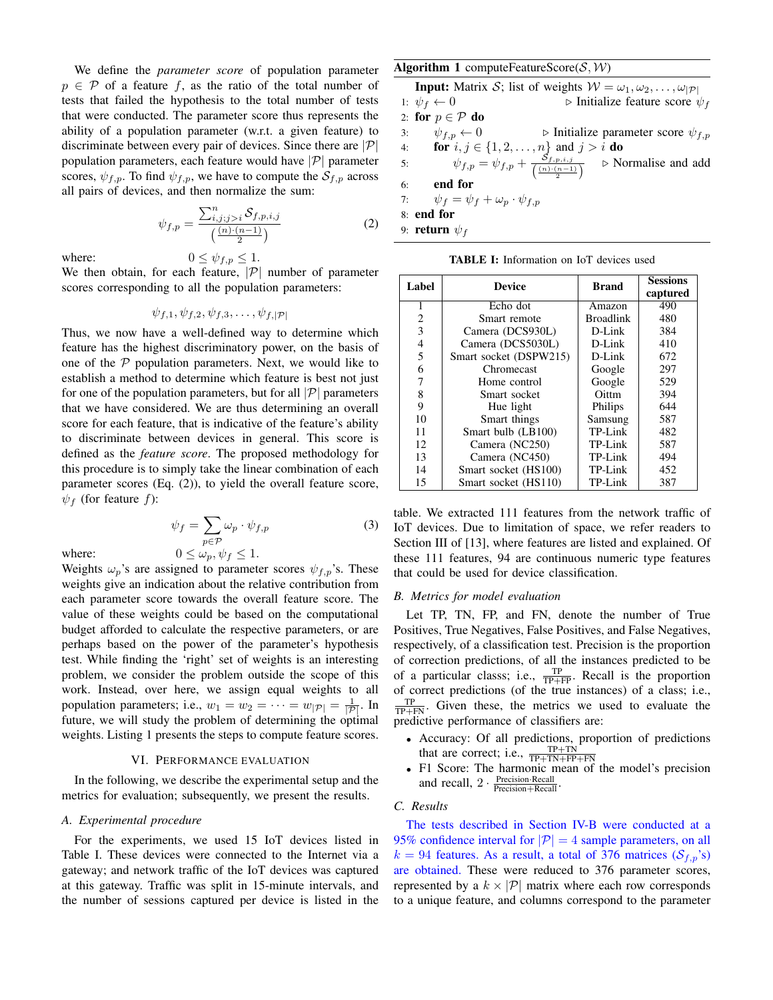We define the *parameter score* of population parameter  $p \in \mathcal{P}$  of a feature f, as the ratio of the total number of tests that failed the hypothesis to the total number of tests that were conducted. The parameter score thus represents the ability of a population parameter (w.r.t. a given feature) to discriminate between every pair of devices. Since there are  $|\mathcal{P}|$ population parameters, each feature would have  $|\mathcal{P}|$  parameter scores,  $\psi_{f,p}$ . To find  $\psi_{f,p}$ , we have to compute the  $\mathcal{S}_{f,p}$  across all pairs of devices, and then normalize the sum:

$$
\psi_{f,p} = \frac{\sum_{i,j;j>i}^{n} \mathcal{S}_{f,p,i,j}}{\left(\frac{(n)\cdot(n-1)}{2}\right)}
$$
(2)

where:  $0 \leq \psi_{f,p} \leq 1$ .

We then obtain, for each feature,  $|\mathcal{P}|$  number of parameter scores corresponding to all the population parameters:

$$
\psi_{f,1}, \psi_{f,2}, \psi_{f,3}, \ldots, \psi_{f,|\mathcal{P}|}
$$

Thus, we now have a well-defined way to determine which feature has the highest discriminatory power, on the basis of one of the  $P$  population parameters. Next, we would like to establish a method to determine which feature is best not just for one of the population parameters, but for all  $|\mathcal{P}|$  parameters that we have considered. We are thus determining an overall score for each feature, that is indicative of the feature's ability to discriminate between devices in general. This score is defined as the *feature score*. The proposed methodology for this procedure is to simply take the linear combination of each parameter scores (Eq. (2)), to yield the overall feature score,  $\psi_f$  (for feature f):

$$
\psi_f = \sum_{p \in \mathcal{P}} \omega_p \cdot \psi_{f,p} \tag{3}
$$

where:

$$
0 \le \omega_p, \psi_f \le 1
$$

Weights  $\omega_p$ 's are assigned to parameter scores  $\psi_{f,p}$ 's. These weights give an indication about the relative contribution from each parameter score towards the overall feature score. The value of these weights could be based on the computational budget afforded to calculate the respective parameters, or are perhaps based on the power of the parameter's hypothesis test. While finding the 'right' set of weights is an interesting problem, we consider the problem outside the scope of this work. Instead, over here, we assign equal weights to all population parameters; i.e.,  $w_1 = w_2 = \cdots = w_{|\mathcal{P}|} = \frac{1}{|\mathcal{P}|}$ . In future, we will study the problem of determining the optimal weights. Listing 1 presents the steps to compute feature scores.

#### VI. PERFORMANCE EVALUATION

In the following, we describe the experimental setup and the metrics for evaluation; subsequently, we present the results.

# *A. Experimental procedure*

For the experiments, we used 15 IoT devices listed in Table I. These devices were connected to the Internet via a gateway; and network traffic of the IoT devices was captured at this gateway. Traffic was split in 15-minute intervals, and the number of sessions captured per device is listed in the

# Algorithm 1 computeFeatureScore( $S, W$ )

**Input:** Matrix S; list of weights  $W = \omega_1, \omega_2, \dots, \omega_{|\mathcal{P}|}$ 

1:  $\psi_f \leftarrow 0$   $\triangleright$  Initialize feature score  $\psi_f$ 2: for  $p \in \mathcal{P}$  do 3:  $\psi_{f,p} \leftarrow 0$   $\triangleright$  Initialize parameter score  $\psi_{f,p}$ 4: **for**  $i, j \in \{1, 2, ..., n\}$  and  $j > i$  **do** 5:  $\psi_{f,p} = \psi_{f,p} + \frac{S_{f,p,i,j}}{(n-1)!}$  $\left(\frac{(n) \cdot (n-1)}{2}\right)$  $\triangleright$  Normalise and add 6: end for 7:  $\psi_f = \psi_f + \omega_p \cdot \psi_{f,p}$ 8: end for

9: **return**  $\psi_f$ 

TABLE I: Information on IoT devices used

| Label | <b>Device</b>          | <b>Brand</b>     | <b>Sessions</b> |
|-------|------------------------|------------------|-----------------|
|       |                        |                  | captured        |
| 1     | Echo dot               | Amazon           | 490             |
| 2     | Smart remote           | <b>Broadlink</b> | 480             |
| 3     | Camera (DCS930L)       | $D$ -Link        | 384             |
| 4     | Camera (DCS5030L)      | $D$ -Link        | 410             |
| 5     | Smart socket (DSPW215) | $D$ -Link        | 672             |
| 6     | Chromecast             | Google           | 297             |
| 7     | Home control           | Google           | 529             |
| 8     | Smart socket           | Oittm            | 394             |
| 9     | Hue light              | Philips          | 644             |
| 10    | Smart things           | Samsung          | 587             |
| 11    | Smart bulb (LB100)     | TP-Link          | 482             |
| 12    | Camera (NC250)         | TP-Link          | 587             |
| 13    | Camera (NC450)         | TP-Link          | 494             |
| 14    | Smart socket (HS100)   | TP-Link          | 452             |
| 15    | Smart socket (HS110)   | TP-Link          | 387             |

table. We extracted 111 features from the network traffic of IoT devices. Due to limitation of space, we refer readers to Section III of [13], where features are listed and explained. Of these 111 features, 94 are continuous numeric type features that could be used for device classification.

#### *B. Metrics for model evaluation*

Let TP, TN, FP, and FN, denote the number of True Positives, True Negatives, False Positives, and False Negatives, respectively, of a classification test. Precision is the proportion of correction predictions, of all the instances predicted to be of a particular classs; i.e.,  $\frac{TP}{TP+FP}$ . Recall is the proportion of correct predictions (of the true instances) of a class; i.e.,  $\frac{TP}{TP+FN}$ . Given these, the metrics we used to evaluate the predictive performance of classifiers are:

- Accuracy: Of all predictions, proportion of predictions that are correct; i.e.,  $\frac{TP+TN}{TP+TN+FP+FN}$
- F1 Score: The harmonic mean of the model's precision and recall,  $2 \cdot \frac{\text{Precision-Recall}}{\text{Precision+Recall}}$ .

# *C. Results*

The tests described in Section IV-B were conducted at a 95% confidence interval for  $|\mathcal{P}| = 4$  sample parameters, on all  $k = 94$  features. As a result, a total of 376 matrices ( $S_{f,p}$ 's) are obtained. These were reduced to 376 parameter scores, represented by a  $k \times |\mathcal{P}|$  matrix where each row corresponds to a unique feature, and columns correspond to the parameter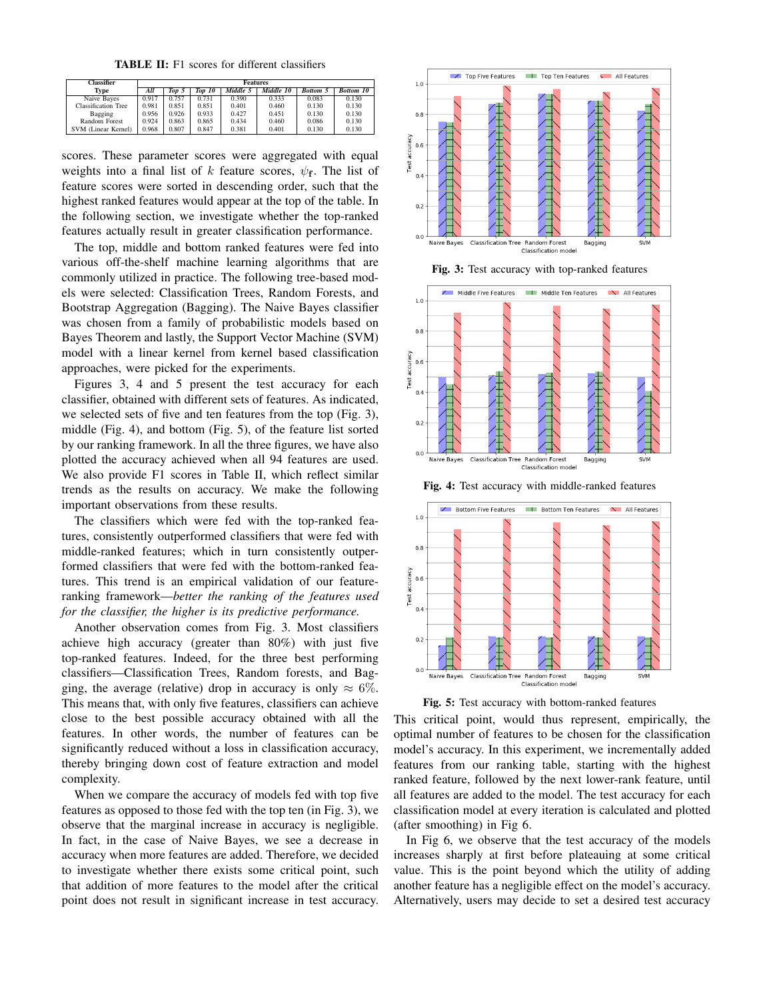TABLE II: F1 scores for different classifiers

| <b>Classifier</b> |                            | <b>Features</b> |       |        |          |           |                 |                  |
|-------------------|----------------------------|-----------------|-------|--------|----------|-----------|-----------------|------------------|
|                   | Type                       | All             | Top 5 | Top 10 | Middle 5 | Middle 10 | <b>Bottom 5</b> | <b>Bottom 10</b> |
|                   | Naive Bayes                | 0.917           | 0.757 | 0.731  | 0.390    | 0.333     | 0.083           | 0.130            |
|                   | <b>Classification Tree</b> | 0.981           | 0.851 | 0.851  | 0.401    | 0.460     | 0.130           | 0.130            |
|                   | Bagging                    | 0.956           | 0.926 | 0.933  | 0.427    | 0.451     | 0.130           | 0.130            |
|                   | Random Forest              | 0.924           | 0.863 | 0.865  | 0.434    | 0.460     | 0.086           | 0.130            |
|                   | SVM (Linear Kernel)        | 0.968           | 0.807 | 0.847  | 0.381    | 0.401     | 0.130           | 0.130            |

scores. These parameter scores were aggregated with equal weights into a final list of k feature scores,  $\psi_f$ . The list of feature scores were sorted in descending order, such that the highest ranked features would appear at the top of the table. In the following section, we investigate whether the top-ranked features actually result in greater classification performance.

The top, middle and bottom ranked features were fed into various off-the-shelf machine learning algorithms that are commonly utilized in practice. The following tree-based models were selected: Classification Trees, Random Forests, and Bootstrap Aggregation (Bagging). The Naive Bayes classifier was chosen from a family of probabilistic models based on Bayes Theorem and lastly, the Support Vector Machine (SVM) model with a linear kernel from kernel based classification approaches, were picked for the experiments.

Figures 3, 4 and 5 present the test accuracy for each classifier, obtained with different sets of features. As indicated, we selected sets of five and ten features from the top (Fig. 3), middle (Fig. 4), and bottom (Fig. 5), of the feature list sorted by our ranking framework. In all the three figures, we have also plotted the accuracy achieved when all 94 features are used. We also provide F1 scores in Table II, which reflect similar trends as the results on accuracy. We make the following important observations from these results.

The classifiers which were fed with the top-ranked features, consistently outperformed classifiers that were fed with middle-ranked features; which in turn consistently outperformed classifiers that were fed with the bottom-ranked features. This trend is an empirical validation of our featureranking framework—*better the ranking of the features used for the classifier, the higher is its predictive performance.*

Another observation comes from Fig. 3. Most classifiers achieve high accuracy (greater than 80%) with just five top-ranked features. Indeed, for the three best performing classifiers—Classification Trees, Random forests, and Bagging, the average (relative) drop in accuracy is only  $\approx 6\%$ . This means that, with only five features, classifiers can achieve close to the best possible accuracy obtained with all the features. In other words, the number of features can be significantly reduced without a loss in classification accuracy, thereby bringing down cost of feature extraction and model complexity.

When we compare the accuracy of models fed with top five features as opposed to those fed with the top ten (in Fig. 3), we observe that the marginal increase in accuracy is negligible. In fact, in the case of Naive Bayes, we see a decrease in accuracy when more features are added. Therefore, we decided to investigate whether there exists some critical point, such that addition of more features to the model after the critical point does not result in significant increase in test accuracy.



Fig. 3: Test accuracy with top-ranked features



Fig. 4: Test accuracy with middle-ranked features



Fig. 5: Test accuracy with bottom-ranked features

This critical point, would thus represent, empirically, the optimal number of features to be chosen for the classification model's accuracy. In this experiment, we incrementally added features from our ranking table, starting with the highest ranked feature, followed by the next lower-rank feature, until all features are added to the model. The test accuracy for each classification model at every iteration is calculated and plotted (after smoothing) in Fig 6.

In Fig 6, we observe that the test accuracy of the models increases sharply at first before plateauing at some critical value. This is the point beyond which the utility of adding another feature has a negligible effect on the model's accuracy. Alternatively, users may decide to set a desired test accuracy